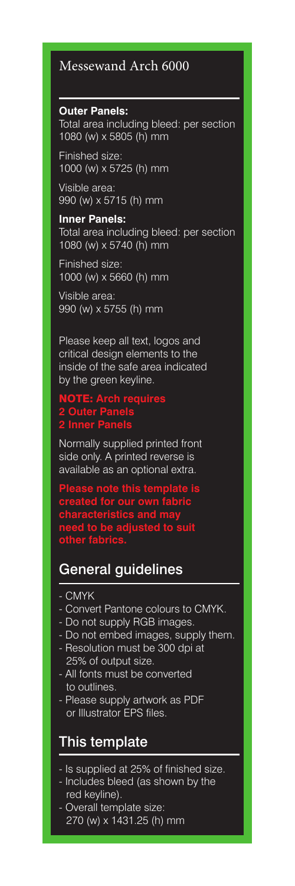## Messewand Arch 6000

**Outer Panels:** Total area including bleed: per section 1080 (w) x 5805 (h) mm

Finished size: 1000 (w) x 5725 (h) mm

Visible area: 990 (w) x 5715 (h) mm

### **Inner Panels:** Total area including bleed: per section 1080 (w) x 5740 (h) mm

Finished size: 1000 (w) x 5660 (h) mm

Visible area: 990 (w) x 5755 (h) mm

Please keep all text, logos and critical design elements to the inside of the safe area indicated by the green keyline.

### NOTE: **Arch requires 2 Outer Panels 2 Inner Panels**

Normally supplied printed front side only. A printed reverse is available as an optional extra.

**Please note this template is created for our own fabric characteristics and may need to be adjusted to suit** 

#### **other fabrics.**

# General guidelines

- CMYK
- Convert Pantone colours to CMYK.
- Do not supply RGB images.
- Do not embed images, supply them.
- Resolution must be 300 dpi at 25% of output size.
- All fonts must be converted to outlines.
- Please supply artwork as PDF or Illustrator EPS files.

## This template

- Is supplied at 25% of finished size.
- Includes bleed (as shown by the red keyline).
- Overall template size: 270 (w) x 1431.25 (h) mm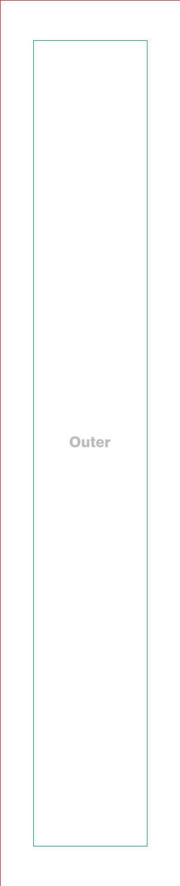